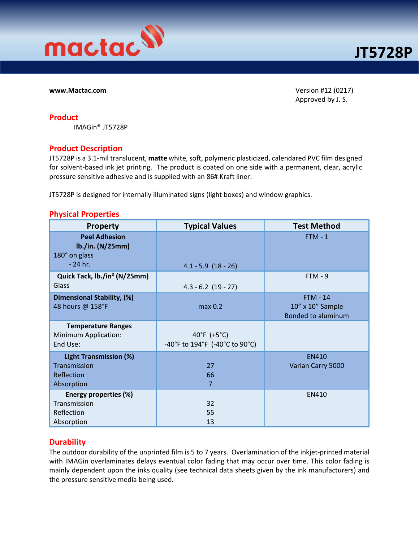

www.Mactac.com Version #12 (0217) Approved by J. S.

## Product

IMAGin® JT5728P

## Product Description

JT5728P is a 3.1-mil translucent, matte white, soft, polymeric plasticized, calendared PVC film designed for solvent-based ink jet printing. The product is coated on one side with a permanent, clear, acrylic pressure sensitive adhesive and is supplied with an 86# Kraft liner.

JT5728P is designed for internally illuminated signs (light boxes) and window graphics.

## Physical Properties

| <b>Property</b>                                                           | <b>Typical Values</b>                         | <b>Test Method</b>                                               |
|---------------------------------------------------------------------------|-----------------------------------------------|------------------------------------------------------------------|
| <b>Peel Adhesion</b><br>lb./in. (N/25mm)<br>180° on glass<br>$-24$ hr.    | $4.1 - 5.9$ $(18 - 26)$                       | $FTM - 1$                                                        |
| Quick Tack, lb./in <sup>2</sup> (N/25mm)<br>Glass                         | $4.3 - 6.2$ (19 - 27)                         | $FTM - 9$                                                        |
| Dimensional Stability, (%)<br>48 hours @ 158°F                            | max 0.2                                       | <b>FTM - 14</b><br>10" x 10" Sample<br><b>Bonded to aluminum</b> |
| <b>Temperature Ranges</b><br><b>Minimum Application:</b><br>End Use:      | 40°F (+5°C)<br>-40°F to 194°F (-40°C to 90°C) |                                                                  |
| <b>Light Transmission (%)</b><br>Transmission<br>Reflection<br>Absorption | 27<br>66<br>7                                 | <b>EN410</b><br>Varian Carry 5000                                |
| Energy properties (%)<br>Transmission<br>Reflection<br>Absorption         | 32<br>55<br>13                                | EN410                                                            |

## **Durability**

The outdoor durability of the unprinted film is 5 to 7 years. Overlamination of the inkjet-printed material with IMAGin overlaminates delays eventual color fading that may occur over time. This color fading is mainly dependent upon the inks quality (see technical data sheets given by the ink manufacturers) and the pressure sensitive media being used.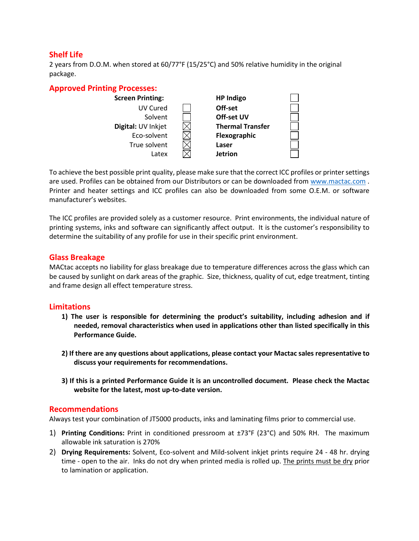# Shelf Life

2 years from D.O.M. when stored at 60/77°F (15/25°C) and 50% relative humidity in the original package.



To achieve the best possible print quality, please make sure that the correct ICC profiles or printer settings are used. Profiles can be obtained from our Distributors or can be downloaded from www.mactac.com . Printer and heater settings and ICC profiles can also be downloaded from some O.E.M. or software manufacturer's websites.

The ICC profiles are provided solely as a customer resource. Print environments, the individual nature of printing systems, inks and software can significantly affect output. It is the customer's responsibility to determine the suitability of any profile for use in their specific print environment.

## Glass Breakage

MACtac accepts no liability for glass breakage due to temperature differences across the glass which can be caused by sunlight on dark areas of the graphic. Size, thickness, quality of cut, edge treatment, tinting and frame design all effect temperature stress.

## **Limitations**

- 1) The user is responsible for determining the product's suitability, including adhesion and if needed, removal characteristics when used in applications other than listed specifically in this Performance Guide.
- 2) If there are any questions about applications, please contact your Mactac sales representative to discuss your requirements for recommendations.
- 3) If this is a printed Performance Guide it is an uncontrolled document. Please check the Mactac website for the latest, most up-to-date version.

### Recommendations

Always test your combination of JT5000 products, inks and laminating films prior to commercial use.

- 1) Printing Conditions: Print in conditioned pressroom at  $\pm$ 73°F (23°C) and 50% RH. The maximum allowable ink saturation is 270%
- 2) Drying Requirements: Solvent, Eco-solvent and Mild-solvent inkjet prints require 24 48 hr. drying time - open to the air. Inks do not dry when printed media is rolled up. The prints must be dry prior to lamination or application.